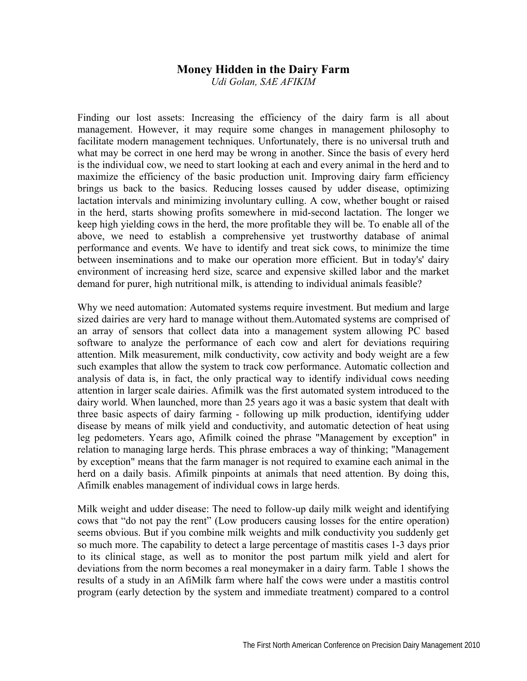## **Money Hidden in the Dairy Farm**

*Udi Golan, SAE AFIKIM* 

Finding our lost assets: Increasing the efficiency of the dairy farm is all about management. However, it may require some changes in management philosophy to facilitate modern management techniques. Unfortunately, there is no universal truth and what may be correct in one herd may be wrong in another. Since the basis of every herd is the individual cow, we need to start looking at each and every animal in the herd and to maximize the efficiency of the basic production unit. Improving dairy farm efficiency brings us back to the basics. Reducing losses caused by udder disease, optimizing lactation intervals and minimizing involuntary culling. A cow, whether bought or raised in the herd, starts showing profits somewhere in mid-second lactation. The longer we keep high yielding cows in the herd, the more profitable they will be. To enable all of the above, we need to establish a comprehensive yet trustworthy database of animal performance and events. We have to identify and treat sick cows, to minimize the time between inseminations and to make our operation more efficient. But in today's' dairy environment of increasing herd size, scarce and expensive skilled labor and the market demand for purer, high nutritional milk, is attending to individual animals feasible?

Why we need automation: Automated systems require investment. But medium and large sized dairies are very hard to manage without them.Automated systems are comprised of an array of sensors that collect data into a management system allowing PC based software to analyze the performance of each cow and alert for deviations requiring attention. Milk measurement, milk conductivity, cow activity and body weight are a few such examples that allow the system to track cow performance. Automatic collection and analysis of data is, in fact, the only practical way to identify individual cows needing attention in larger scale dairies. Afimilk was the first automated system introduced to the dairy world. When launched, more than 25 years ago it was a basic system that dealt with three basic aspects of dairy farming - following up milk production, identifying udder disease by means of milk yield and conductivity, and automatic detection of heat using leg pedometers. Years ago, Afimilk coined the phrase "Management by exception" in relation to managing large herds. This phrase embraces a way of thinking; "Management by exception" means that the farm manager is not required to examine each animal in the herd on a daily basis. Afimilk pinpoints at animals that need attention. By doing this, Afimilk enables management of individual cows in large herds.

Milk weight and udder disease: The need to follow-up daily milk weight and identifying cows that "do not pay the rent" (Low producers causing losses for the entire operation) seems obvious. But if you combine milk weights and milk conductivity you suddenly get so much more. The capability to detect a large percentage of mastitis cases 1-3 days prior to its clinical stage, as well as to monitor the post partum milk yield and alert for deviations from the norm becomes a real moneymaker in a dairy farm. Table 1 shows the results of a study in an AfiMilk farm where half the cows were under a mastitis control program (early detection by the system and immediate treatment) compared to a control